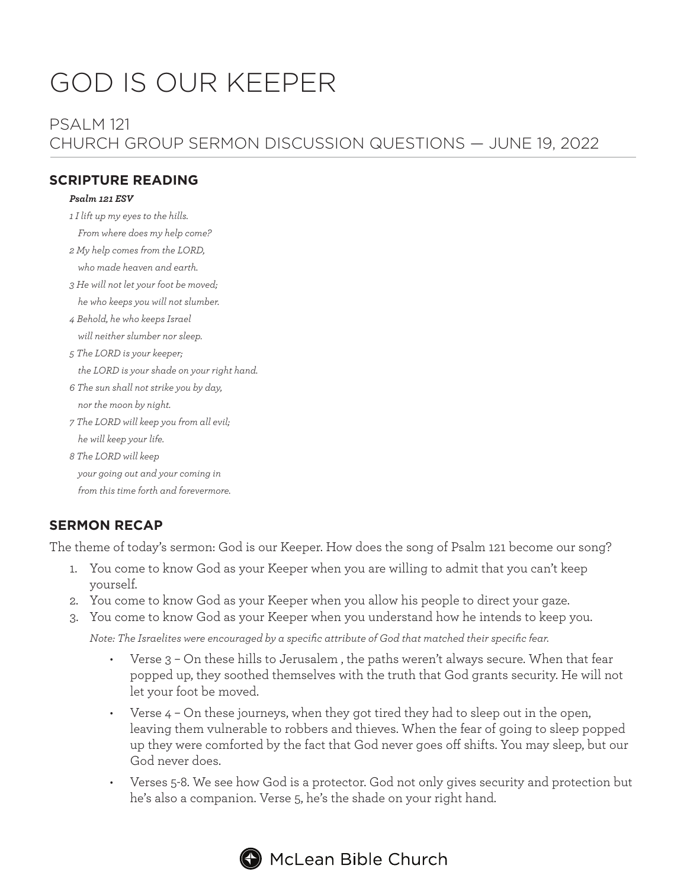# GOD IS OUR KEEPER

# PSALM 121 CHURCH GROUP SERMON DISCUSSION QUESTIONS — JUNE 19, 2022

#### **SCRIPTURE READING**

#### *Psalm 121 ESV*

- *1 I lift up my eyes to the hills.*
	- *From where does my help come?*
- *2 My help comes from the LORD, who made heaven and earth.*
- *3 He will not let your foot be moved; he who keeps you will not slumber.*
- *4 Behold, he who keeps Israel will neither slumber nor sleep.*
- *5 The LORD is your keeper;*

 *the LORD is your shade on your right hand.*

- *6 The sun shall not strike you by day, nor the moon by night.*
- *7 The LORD will keep you from all evil; he will keep your life.*
- *8 The LORD will keep your going out and your coming in from this time forth and forevermore.*

# **SERMON RECAP**

The theme of today's sermon: God is our Keeper. How does the song of Psalm 121 become our song?

- 1. You come to know God as your Keeper when you are willing to admit that you can't keep yourself.
- 2. You come to know God as your Keeper when you allow his people to direct your gaze.
- 3. You come to know God as your Keeper when you understand how he intends to keep you.

*Note: The Israelites were encouraged by a specific attribute of God that matched their specific fear.*

- Verse 3 On these hills to Jerusalem , the paths weren't always secure. When that fear popped up, they soothed themselves with the truth that God grants security. He will not let your foot be moved.
- Verse 4 On these journeys, when they got tired they had to sleep out in the open, leaving them vulnerable to robbers and thieves. When the fear of going to sleep popped up they were comforted by the fact that God never goes off shifts. You may sleep, but our God never does.
- Verses 5-8. We see how God is a protector. God not only gives security and protection but he's also a companion. Verse 5, he's the shade on your right hand.



# $\blacktriangleright$  McLean Bible Church